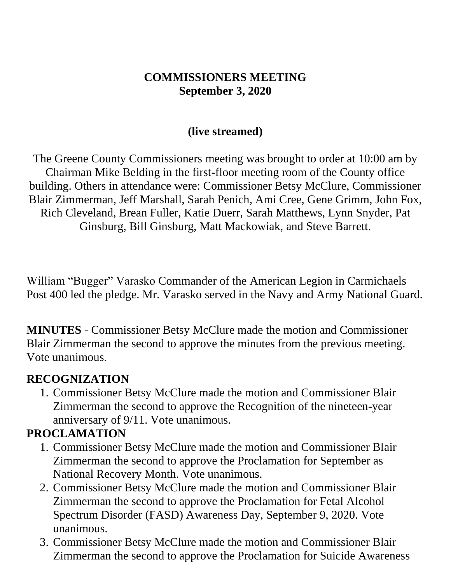#### **COMMISSIONERS MEETING September 3, 2020**

#### **(live streamed)**

The Greene County Commissioners meeting was brought to order at 10:00 am by Chairman Mike Belding in the first-floor meeting room of the County office building. Others in attendance were: Commissioner Betsy McClure, Commissioner Blair Zimmerman, Jeff Marshall, Sarah Penich, Ami Cree, Gene Grimm, John Fox, Rich Cleveland, Brean Fuller, Katie Duerr, Sarah Matthews, Lynn Snyder, Pat Ginsburg, Bill Ginsburg, Matt Mackowiak, and Steve Barrett.

William "Bugger" Varasko Commander of the American Legion in Carmichaels Post 400 led the pledge. Mr. Varasko served in the Navy and Army National Guard.

**MINUTES** - Commissioner Betsy McClure made the motion and Commissioner Blair Zimmerman the second to approve the minutes from the previous meeting. Vote unanimous.

#### **RECOGNIZATION**

1. Commissioner Betsy McClure made the motion and Commissioner Blair Zimmerman the second to approve the Recognition of the nineteen-year anniversary of 9/11. Vote unanimous.

#### **PROCLAMATION**

- 1. Commissioner Betsy McClure made the motion and Commissioner Blair Zimmerman the second to approve the Proclamation for September as National Recovery Month. Vote unanimous.
- 2. Commissioner Betsy McClure made the motion and Commissioner Blair Zimmerman the second to approve the Proclamation for Fetal Alcohol Spectrum Disorder (FASD) Awareness Day, September 9, 2020. Vote unanimous.
- 3. Commissioner Betsy McClure made the motion and Commissioner Blair Zimmerman the second to approve the Proclamation for Suicide Awareness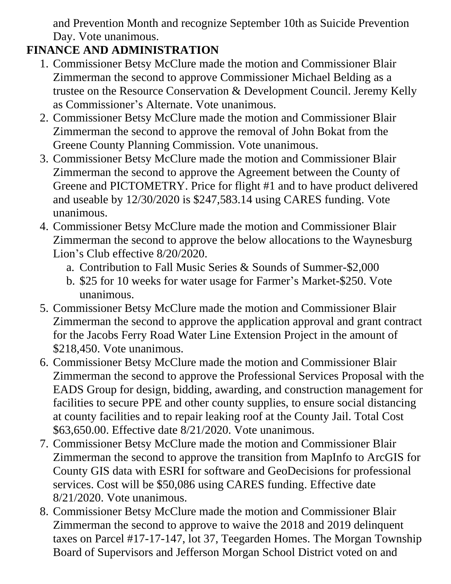and Prevention Month and recognize September 10th as Suicide Prevention Day. Vote unanimous.

# **FINANCE AND ADMINISTRATION**

- 1. Commissioner Betsy McClure made the motion and Commissioner Blair Zimmerman the second to approve Commissioner Michael Belding as a trustee on the Resource Conservation & Development Council. Jeremy Kelly as Commissioner's Alternate. Vote unanimous.
- 2. Commissioner Betsy McClure made the motion and Commissioner Blair Zimmerman the second to approve the removal of John Bokat from the Greene County Planning Commission. Vote unanimous.
- 3. Commissioner Betsy McClure made the motion and Commissioner Blair Zimmerman the second to approve the Agreement between the County of Greene and PICTOMETRY. Price for flight #1 and to have product delivered and useable by 12/30/2020 is \$247,583.14 using CARES funding. Vote unanimous.
- 4. Commissioner Betsy McClure made the motion and Commissioner Blair Zimmerman the second to approve the below allocations to the Waynesburg Lion's Club effective 8/20/2020.
	- a. Contribution to Fall Music Series & Sounds of Summer-\$2,000
	- b. \$25 for 10 weeks for water usage for Farmer's Market-\$250. Vote unanimous.
- 5. Commissioner Betsy McClure made the motion and Commissioner Blair Zimmerman the second to approve the application approval and grant contract for the Jacobs Ferry Road Water Line Extension Project in the amount of \$218,450. Vote unanimous.
- 6. Commissioner Betsy McClure made the motion and Commissioner Blair Zimmerman the second to approve the Professional Services Proposal with the EADS Group for design, bidding, awarding, and construction management for facilities to secure PPE and other county supplies, to ensure social distancing at county facilities and to repair leaking roof at the County Jail. Total Cost \$63,650.00. Effective date 8/21/2020. Vote unanimous.
- 7. Commissioner Betsy McClure made the motion and Commissioner Blair Zimmerman the second to approve the transition from MapInfo to ArcGIS for County GIS data with ESRI for software and GeoDecisions for professional services. Cost will be \$50,086 using CARES funding. Effective date 8/21/2020. Vote unanimous.
- 8. Commissioner Betsy McClure made the motion and Commissioner Blair Zimmerman the second to approve to waive the 2018 and 2019 delinquent taxes on Parcel #17-17-147, lot 37, Teegarden Homes. The Morgan Township Board of Supervisors and Jefferson Morgan School District voted on and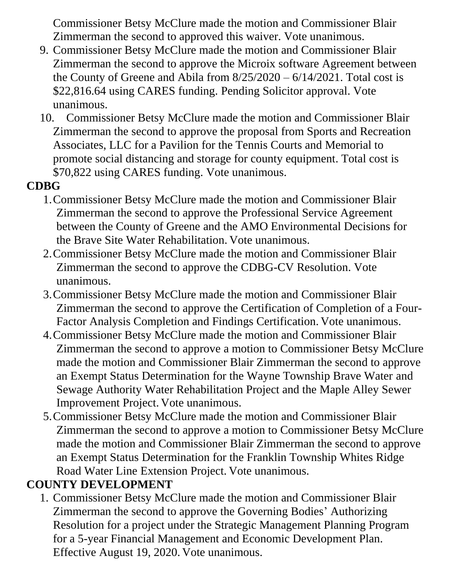Commissioner Betsy McClure made the motion and Commissioner Blair Zimmerman the second to approved this waiver. Vote unanimous.

- 9. Commissioner Betsy McClure made the motion and Commissioner Blair Zimmerman the second to approve the Microix software Agreement between the County of Greene and Abila from 8/25/2020 – 6/14/2021. Total cost is \$22,816.64 using CARES funding. Pending Solicitor approval. Vote unanimous.
- 10. Commissioner Betsy McClure made the motion and Commissioner Blair Zimmerman the second to approve the proposal from Sports and Recreation Associates, LLC for a Pavilion for the Tennis Courts and Memorial to promote social distancing and storage for county equipment. Total cost is \$70,822 using CARES funding. Vote unanimous.

### **CDBG**

- 1.Commissioner Betsy McClure made the motion and Commissioner Blair Zimmerman the second to approve the Professional Service Agreement between the County of Greene and the AMO Environmental Decisions for the Brave Site Water Rehabilitation. Vote unanimous.
- 2.Commissioner Betsy McClure made the motion and Commissioner Blair Zimmerman the second to approve the CDBG-CV Resolution. Vote unanimous.
- 3.Commissioner Betsy McClure made the motion and Commissioner Blair Zimmerman the second to approve the Certification of Completion of a Four-Factor Analysis Completion and Findings Certification. Vote unanimous.
- 4.Commissioner Betsy McClure made the motion and Commissioner Blair Zimmerman the second to approve a motion to Commissioner Betsy McClure made the motion and Commissioner Blair Zimmerman the second to approve an Exempt Status Determination for the Wayne Township Brave Water and Sewage Authority Water Rehabilitation Project and the Maple Alley Sewer Improvement Project. Vote unanimous.
- 5.Commissioner Betsy McClure made the motion and Commissioner Blair Zimmerman the second to approve a motion to Commissioner Betsy McClure made the motion and Commissioner Blair Zimmerman the second to approve an Exempt Status Determination for the Franklin Township Whites Ridge Road Water Line Extension Project. Vote unanimous.

## **COUNTY DEVELOPMENT**

1. Commissioner Betsy McClure made the motion and Commissioner Blair Zimmerman the second to approve the Governing Bodies' Authorizing Resolution for a project under the Strategic Management Planning Program for a 5-year Financial Management and Economic Development Plan. Effective August 19, 2020. Vote unanimous.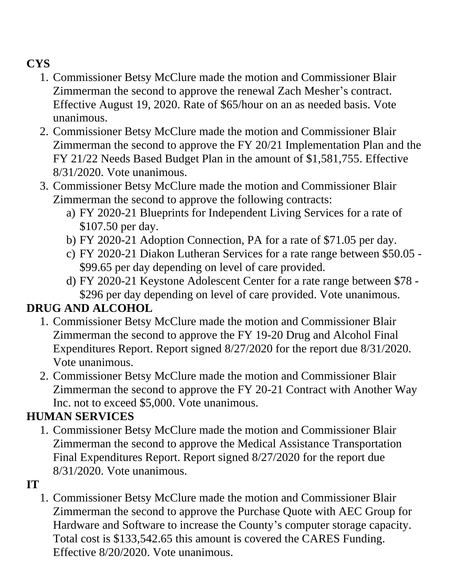### **CYS**

- 1. Commissioner Betsy McClure made the motion and Commissioner Blair Zimmerman the second to approve the renewal Zach Mesher's contract. Effective August 19, 2020. Rate of \$65/hour on an as needed basis. Vote unanimous.
- 2. Commissioner Betsy McClure made the motion and Commissioner Blair Zimmerman the second to approve the FY 20/21 Implementation Plan and the FY 21/22 Needs Based Budget Plan in the amount of \$1,581,755. Effective 8/31/2020. Vote unanimous.
- 3. Commissioner Betsy McClure made the motion and Commissioner Blair Zimmerman the second to approve the following contracts:
	- a) FY 2020-21 Blueprints for Independent Living Services for a rate of \$107.50 per day.
	- b) FY 2020-21 Adoption Connection, PA for a rate of \$71.05 per day.
	- c) FY 2020-21 Diakon Lutheran Services for a rate range between \$50.05 \$99.65 per day depending on level of care provided.
	- d) FY 2020-21 Keystone Adolescent Center for a rate range between \$78 \$296 per day depending on level of care provided. Vote unanimous.

#### **DRUG AND ALCOHOL**

- 1. Commissioner Betsy McClure made the motion and Commissioner Blair Zimmerman the second to approve the FY 19-20 Drug and Alcohol Final Expenditures Report. Report signed 8/27/2020 for the report due 8/31/2020. Vote unanimous.
- 2. Commissioner Betsy McClure made the motion and Commissioner Blair Zimmerman the second to approve the FY 20-21 Contract with Another Way Inc. not to exceed \$5,000. Vote unanimous.

## **HUMAN SERVICES**

1. Commissioner Betsy McClure made the motion and Commissioner Blair Zimmerman the second to approve the Medical Assistance Transportation Final Expenditures Report. Report signed 8/27/2020 for the report due 8/31/2020. Vote unanimous.

#### **IT**

1. Commissioner Betsy McClure made the motion and Commissioner Blair Zimmerman the second to approve the Purchase Quote with AEC Group for Hardware and Software to increase the County's computer storage capacity. Total cost is \$133,542.65 this amount is covered the CARES Funding. Effective 8/20/2020. Vote unanimous.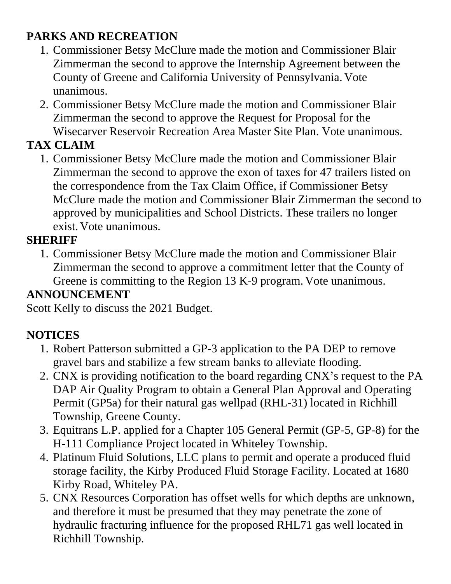### **PARKS AND RECREATION**

- 1. Commissioner Betsy McClure made the motion and Commissioner Blair Zimmerman the second to approve the Internship Agreement between the County of Greene and California University of Pennsylvania. Vote unanimous.
- 2. Commissioner Betsy McClure made the motion and Commissioner Blair Zimmerman the second to approve the Request for Proposal for the Wisecarver Reservoir Recreation Area Master Site Plan. Vote unanimous.

# **TAX CLAIM**

1. Commissioner Betsy McClure made the motion and Commissioner Blair Zimmerman the second to approve the exon of taxes for 47 trailers listed on the correspondence from the Tax Claim Office, if Commissioner Betsy McClure made the motion and Commissioner Blair Zimmerman the second to approved by municipalities and School Districts. These trailers no longer exist. Vote unanimous.

### **SHERIFF**

1. Commissioner Betsy McClure made the motion and Commissioner Blair Zimmerman the second to approve a commitment letter that the County of Greene is committing to the Region 13 K-9 program. Vote unanimous.

## **ANNOUNCEMENT**

Scott Kelly to discuss the 2021 Budget.

## **NOTICES**

- 1. Robert Patterson submitted a GP-3 application to the PA DEP to remove gravel bars and stabilize a few stream banks to alleviate flooding.
- 2. CNX is providing notification to the board regarding CNX's request to the PA DAP Air Quality Program to obtain a General Plan Approval and Operating Permit (GP5a) for their natural gas wellpad (RHL-31) located in Richhill Township, Greene County.
- 3. Equitrans L.P. applied for a Chapter 105 General Permit (GP-5, GP-8) for the H-111 Compliance Project located in Whiteley Township.
- 4. Platinum Fluid Solutions, LLC plans to permit and operate a produced fluid storage facility, the Kirby Produced Fluid Storage Facility. Located at 1680 Kirby Road, Whiteley PA.
- 5. CNX Resources Corporation has offset wells for which depths are unknown, and therefore it must be presumed that they may penetrate the zone of hydraulic fracturing influence for the proposed RHL71 gas well located in Richhill Township.